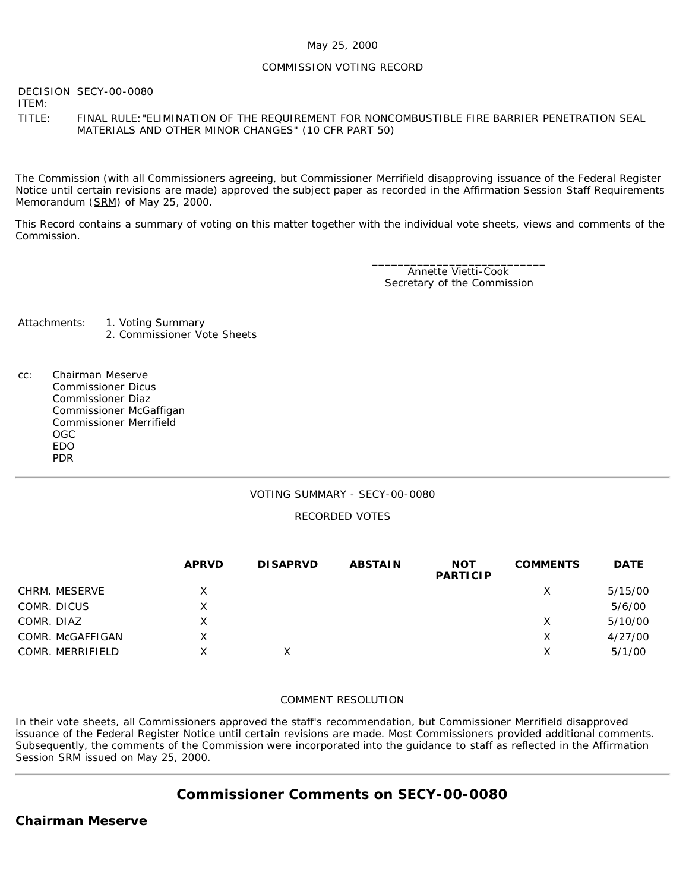### May 25, 2000

### COMMISSION VOTING RECORD

DECISION SECY-00-0080

ITEM:

TITLE: FINAL RULE:"ELIMINATION OF THE REQUIREMENT FOR NONCOMBUSTIBLE FIRE BARRIER PENETRATION SEAL MATERIALS AND OTHER MINOR CHANGES" (10 CFR PART 50)

The Commission (with all Commissioners agreeing, but Commissioner Merrifield disapproving issuance of the Federal Register Notice until certain revisions are made) approved the subject paper as recorded in the Affirmation Session Staff Requirements Memorandum (SRM) of May 25, 2000.

This Record contains a summary of voting on this matter together with the individual vote sheets, views and comments of the Commission.

> \_\_\_\_\_\_\_\_\_\_\_\_\_\_\_\_\_\_\_\_\_\_\_\_\_\_\_ Annette Vietti-Cook Secretary of the Commission

Attachments: 1. Voting Summary 2. Commissioner Vote Sheets

cc: Chairman Meserve Commissioner Dicus Commissioner Diaz Commissioner McGaffigan Commissioner Merrifield OGC EDO PDR

### VOTING SUMMARY - SECY-00-0080

### RECORDED VOTES

|                  | <b>APRVD</b> | <b>DISAPRVD</b> | <b>ABSTAIN</b> | <b>NOT</b><br><b>PARTICIP</b> | <b>COMMENTS</b> | <b>DATE</b> |
|------------------|--------------|-----------------|----------------|-------------------------------|-----------------|-------------|
| CHRM. MESERVE    | X            |                 |                |                               | Х               | 5/15/00     |
| COMR. DICUS      | x            |                 |                |                               |                 | 5/6/00      |
| COMR. DIAZ       | X            |                 |                |                               | Х               | 5/10/00     |
| COMR. McGAFFIGAN | X            |                 |                |                               | Χ               | 4/27/00     |
| COMR. MERRIFIELD | X            |                 |                |                               | X               | 5/1/00      |

#### COMMENT RESOLUTION

In their vote sheets, all Commissioners approved the staff's recommendation, but Commissioner Merrifield disapproved issuance of the Federal Register Notice until certain revisions are made. Most Commissioners provided additional comments. Subsequently, the comments of the Commission were incorporated into the guidance to staff as reflected in the Affirmation Session SRM issued on May 25, 2000.

# **Commissioner Comments on [SECY-00-0080](http://www.nrc.gov/reading-rm/doc-collections/commission/secys/2000/secy2000-0080/2000-0080scy.html)**